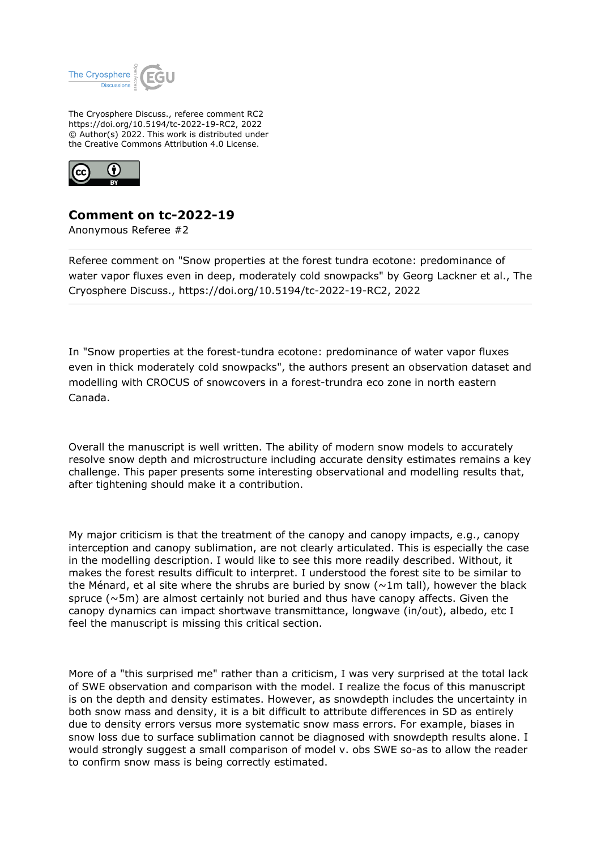

The Cryosphere Discuss., referee comment RC2 https://doi.org/10.5194/tc-2022-19-RC2, 2022 © Author(s) 2022. This work is distributed under the Creative Commons Attribution 4.0 License.



## **Comment on tc-2022-19**

Anonymous Referee #2

Referee comment on "Snow properties at the forest tundra ecotone: predominance of water vapor fluxes even in deep, moderately cold snowpacks" by Georg Lackner et al., The Cryosphere Discuss., https://doi.org/10.5194/tc-2022-19-RC2, 2022

In "Snow properties at the forest-tundra ecotone: predominance of water vapor fluxes even in thick moderately cold snowpacks", the authors present an observation dataset and modelling with CROCUS of snowcovers in a forest-trundra eco zone in north eastern Canada.

Overall the manuscript is well written. The ability of modern snow models to accurately resolve snow depth and microstructure including accurate density estimates remains a key challenge. This paper presents some interesting observational and modelling results that, after tightening should make it a contribution.

My major criticism is that the treatment of the canopy and canopy impacts, e.g., canopy interception and canopy sublimation, are not clearly articulated. This is especially the case in the modelling description. I would like to see this more readily described. Without, it makes the forest results difficult to interpret. I understood the forest site to be similar to the Ménard, et al site where the shrubs are buried by snow ( $\sim$ 1m tall), however the black spruce ( $\sim$ 5m) are almost certainly not buried and thus have canopy affects. Given the canopy dynamics can impact shortwave transmittance, longwave (in/out), albedo, etc I feel the manuscript is missing this critical section.

More of a "this surprised me" rather than a criticism, I was very surprised at the total lack of SWE observation and comparison with the model. I realize the focus of this manuscript is on the depth and density estimates. However, as snowdepth includes the uncertainty in both snow mass and density, it is a bit difficult to attribute differences in SD as entirely due to density errors versus more systematic snow mass errors. For example, biases in snow loss due to surface sublimation cannot be diagnosed with snowdepth results alone. I would strongly suggest a small comparison of model v. obs SWE so-as to allow the reader to confirm snow mass is being correctly estimated.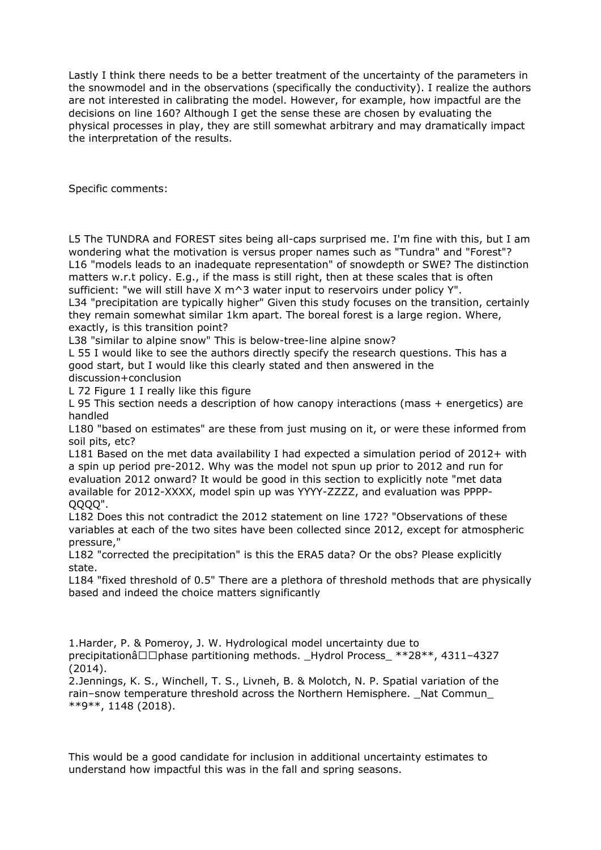Lastly I think there needs to be a better treatment of the uncertainty of the parameters in the snowmodel and in the observations (specifically the conductivity). I realize the authors are not interested in calibrating the model. However, for example, how impactful are the decisions on line 160? Although I get the sense these are chosen by evaluating the physical processes in play, they are still somewhat arbitrary and may dramatically impact the interpretation of the results.

Specific comments:

L5 The TUNDRA and FOREST sites being all-caps surprised me. I'm fine with this, but I am wondering what the motivation is versus proper names such as "Tundra" and "Forest"? L16 "models leads to an inadequate representation" of snowdepth or SWE? The distinction matters w.r.t policy. E.g., if the mass is still right, then at these scales that is often sufficient: "we will still have  $X \text{ m}^3$  water input to reservoirs under policy Y".

L34 "precipitation are typically higher" Given this study focuses on the transition, certainly they remain somewhat similar 1km apart. The boreal forest is a large region. Where, exactly, is this transition point?

L38 "similar to alpine snow" This is below-tree-line alpine snow?

L 55 I would like to see the authors directly specify the research questions. This has a good start, but I would like this clearly stated and then answered in the discussion+conclusion

L 72 Figure 1 I really like this figure

L 95 This section needs a description of how canopy interactions (mass + energetics) are handled

L180 "based on estimates" are these from just musing on it, or were these informed from soil pits, etc?

L181 Based on the met data availability I had expected a simulation period of 2012+ with a spin up period pre-2012. Why was the model not spun up prior to 2012 and run for evaluation 2012 onward? It would be good in this section to explicitly note "met data available for 2012-XXXX, model spin up was YYYY-ZZZZ, and evaluation was PPPP-QQQQ".

L182 Does this not contradict the 2012 statement on line 172? "Observations of these variables at each of the two sites have been collected since 2012, except for atmospheric pressure,"

L182 "corrected the precipitation" is this the ERA5 data? Or the obs? Please explicitly state.

L184 "fixed threshold of 0.5" There are a plethora of threshold methods that are physically based and indeed the choice matters significantly

1.Harder, P. & Pomeroy, J. W. Hydrological model uncertainty due to precipitationâ $\square$  $\square$ phase partitioning methods. Hydrol Process \*\*28\*\*, 4311–4327 (2014).

2.Jennings, K. S., Winchell, T. S., Livneh, B. & Molotch, N. P. Spatial variation of the rain–snow temperature threshold across the Northern Hemisphere. Nat Commun \*\*9\*\*, 1148 (2018).

This would be a good candidate for inclusion in additional uncertainty estimates to understand how impactful this was in the fall and spring seasons.